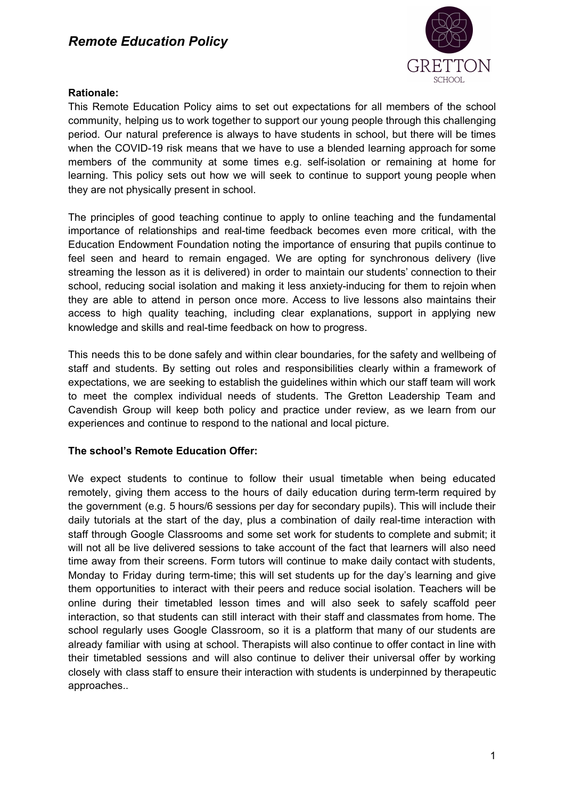

### **Rationale:**

This Remote Education Policy aims to set out expectations for all members of the school community, helping us to work together to support our young people through this challenging period. Our natural preference is always to have students in school, but there will be times when the COVID-19 risk means that we have to use a blended learning approach for some members of the community at some times e.g. self-isolation or remaining at home for learning. This policy sets out how we will seek to continue to support young people when they are not physically present in school.

The principles of good teaching continue to apply to online teaching and the fundamental importance of relationships and real-time feedback becomes even more critical, with the Education Endowment Foundation noting the importance of ensuring that pupils continue to feel seen and heard to remain engaged. We are opting for synchronous delivery (live streaming the lesson as it is delivered) in order to maintain our students' connection to their school, reducing social isolation and making it less anxiety-inducing for them to rejoin when they are able to attend in person once more. Access to live lessons also maintains their access to high quality teaching, including clear explanations, support in applying new knowledge and skills and real-time feedback on how to progress.

This needs this to be done safely and within clear boundaries, for the safety and wellbeing of staff and students. By setting out roles and responsibilities clearly within a framework of expectations, we are seeking to establish the guidelines within which our staff team will work to meet the complex individual needs of students. The Gretton Leadership Team and Cavendish Group will keep both policy and practice under review, as we learn from our experiences and continue to respond to the national and local picture.

### **The school's Remote Education Offer:**

We expect students to continue to follow their usual timetable when being educated remotely, giving them access to the hours of daily education during term-term required by the government (e.g. 5 hours/6 sessions per day for secondary pupils). This will include their daily tutorials at the start of the day, plus a combination of daily real-time interaction with staff through Google Classrooms and some set work for students to complete and submit; it will not all be live delivered sessions to take account of the fact that learners will also need time away from their screens. Form tutors will continue to make daily contact with students, Monday to Friday during term-time; this will set students up for the day's learning and give them opportunities to interact with their peers and reduce social isolation. Teachers will be online during their timetabled lesson times and will also seek to safely scaffold peer interaction, so that students can still interact with their staff and classmates from home. The school regularly uses Google Classroom, so it is a platform that many of our students are already familiar with using at school. Therapists will also continue to offer contact in line with their timetabled sessions and will also continue to deliver their universal offer by working closely with class staff to ensure their interaction with students is underpinned by therapeutic approaches..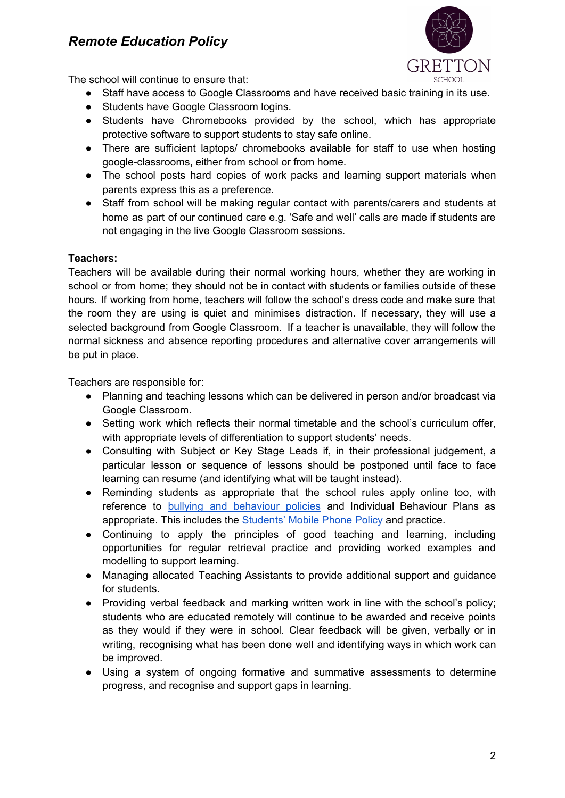

The school will continue to ensure that:

- Staff have access to Google Classrooms and have received basic training in its use.
- Students have Google Classroom logins.
- Students have Chromebooks provided by the school, which has appropriate protective software to support students to stay safe online.
- There are sufficient laptops/ chromebooks available for staff to use when hosting google-classrooms, either from school or from home.
- The school posts hard copies of work packs and learning support materials when parents express this as a preference.
- Staff from school will be making regular contact with parents/carers and students at home as part of our continued care e.g. 'Safe and well' calls are made if students are not engaging in the live Google Classroom sessions.

### **Teachers:**

Teachers will be available during their normal working hours, whether they are working in school or from home; they should not be in contact with students or families outside of these hours. If working from home, teachers will follow the school's dress code and make sure that the room they are using is quiet and minimises distraction. If necessary, they will use a selected background from Google Classroom. If a teacher is unavailable, they will follow the normal sickness and absence reporting procedures and alternative cover arrangements will be put in place.

Teachers are responsible for:

- Planning and teaching lessons which can be delivered in person and/or broadcast via Google Classroom.
- Setting work which reflects their normal timetable and the school's curriculum offer, with appropriate levels of differentiation to support students' needs.
- Consulting with Subject or Key Stage Leads if, in their professional judgement, a particular lesson or sequence of lessons should be postponed until face to face learning can resume (and identifying what will be taught instead).
- Reminding students as appropriate that the school rules apply online too, with reference to bullying and [behaviour](https://a515940e-7e52-44ce-94ab-e52a29f624d0.filesusr.com/ugd/19aab6_7090c7d00ace4794aecca00a06d4b534.pdf) policies and Individual Behaviour Plans as appropriate. This includes the **[Students'](https://a515940e-7e52-44ce-94ab-e52a29f624d0.filesusr.com/ugd/19aab6_77dc6fbf34f64e1d996551a74284e4eb.pdf) Mobile Phone Policy and practice**.
- Continuing to apply the principles of good teaching and learning, including opportunities for regular retrieval practice and providing worked examples and modelling to support learning.
- Managing allocated Teaching Assistants to provide additional support and guidance for students.
- Providing verbal feedback and marking written work in line with the school's policy; students who are educated remotely will continue to be awarded and receive points as they would if they were in school. Clear feedback will be given, verbally or in writing, recognising what has been done well and identifying ways in which work can be improved.
- Using a system of ongoing formative and summative assessments to determine progress, and recognise and support gaps in learning.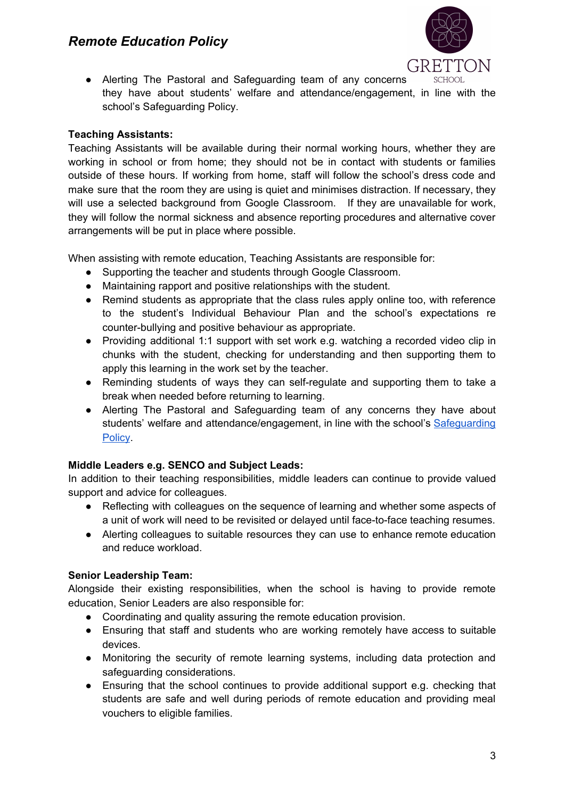

● Alerting The Pastoral and Safeguarding team of any concerns they have about students' welfare and attendance/engagement, in line with the school's Safeguarding Policy.

### **Teaching Assistants:**

Teaching Assistants will be available during their normal working hours, whether they are working in school or from home; they should not be in contact with students or families outside of these hours. If working from home, staff will follow the school's dress code and make sure that the room they are using is quiet and minimises distraction. If necessary, they will use a selected background from Google Classroom. If they are unavailable for work, they will follow the normal sickness and absence reporting procedures and alternative cover arrangements will be put in place where possible.

When assisting with remote education, Teaching Assistants are responsible for:

- Supporting the teacher and students through Google Classroom.
- Maintaining rapport and positive relationships with the student.
- Remind students as appropriate that the class rules apply online too, with reference to the student's Individual Behaviour Plan and the school's expectations re counter-bullying and positive behaviour as appropriate.
- Providing additional 1:1 support with set work e.g. watching a recorded video clip in chunks with the student, checking for understanding and then supporting them to apply this learning in the work set by the teacher.
- Reminding students of ways they can self-regulate and supporting them to take a break when needed before returning to learning.
- Alerting The Pastoral and Safeguarding team of any concerns they have about students' welfare and attendance/engagement, in line with the school's [Safeguarding](https://a515940e-7e52-44ce-94ab-e52a29f624d0.filesusr.com/ugd/e4d269_8762c424e19a47cd8a74ed2e943774d2.pdf) [Policy](https://a515940e-7e52-44ce-94ab-e52a29f624d0.filesusr.com/ugd/e4d269_8762c424e19a47cd8a74ed2e943774d2.pdf).

### **Middle Leaders e.g. SENCO and Subject Leads:**

In addition to their teaching responsibilities, middle leaders can continue to provide valued support and advice for colleagues.

- Reflecting with colleagues on the sequence of learning and whether some aspects of a unit of work will need to be revisited or delayed until face-to-face teaching resumes.
- Alerting colleagues to suitable resources they can use to enhance remote education and reduce workload.

### **Senior Leadership Team:**

Alongside their existing responsibilities, when the school is having to provide remote education, Senior Leaders are also responsible for:

- Coordinating and quality assuring the remote education provision.
- Ensuring that staff and students who are working remotely have access to suitable devices.
- Monitoring the security of remote learning systems, including data protection and safeguarding considerations.
- Ensuring that the school continues to provide additional support e.g. checking that students are safe and well during periods of remote education and providing meal vouchers to eligible families.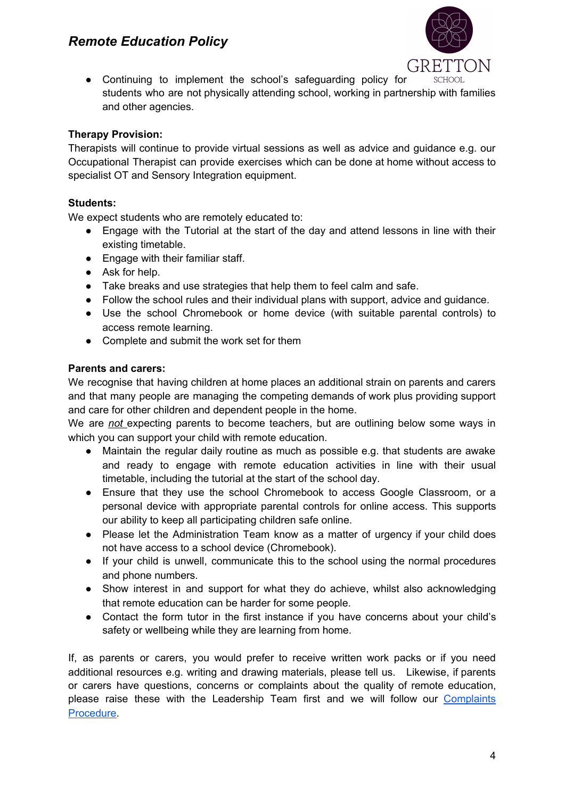

● Continuing to implement the school's safeguarding policy for students who are not physically attending school, working in partnership with families and other agencies.

### **Therapy Provision:**

Therapists will continue to provide virtual sessions as well as advice and guidance e.g. our Occupational Therapist can provide exercises which can be done at home without access to specialist OT and Sensory Integration equipment.

### **Students:**

We expect students who are remotely educated to:

- Engage with the Tutorial at the start of the day and attend lessons in line with their existing timetable.
- Engage with their familiar staff.
- Ask for help.
- Take breaks and use strategies that help them to feel calm and safe.
- Follow the school rules and their individual plans with support, advice and guidance.
- Use the school Chromebook or home device (with suitable parental controls) to access remote learning.
- Complete and submit the work set for them

### **Parents and carers:**

We recognise that having children at home places an additional strain on parents and carers and that many people are managing the competing demands of work plus providing support and care for other children and dependent people in the home.

We are *not* expecting parents to become teachers, but are outlining below some ways in which you can support your child with remote education.

- Maintain the regular daily routine as much as possible e.g. that students are awake and ready to engage with remote education activities in line with their usual timetable, including the tutorial at the start of the school day.
- Ensure that they use the school Chromebook to access Google Classroom, or a personal device with appropriate parental controls for online access. This supports our ability to keep all participating children safe online.
- Please let the Administration Team know as a matter of urgency if your child does not have access to a school device (Chromebook).
- If your child is unwell, communicate this to the school using the normal procedures and phone numbers.
- Show interest in and support for what they do achieve, whilst also acknowledging that remote education can be harder for some people.
- Contact the form tutor in the first instance if you have concerns about your child's safety or wellbeing while they are learning from home.

If, as parents or carers, you would prefer to receive written work packs or if you need additional resources e.g. writing and drawing materials, please tell us. Likewise, if parents or carers have questions, concerns or complaints about the quality of remote education, please raise these with the Leadership Team first and we will follow our [Complaints](https://a515940e-7e52-44ce-94ab-e52a29f624d0.filesusr.com/ugd/19aab6_50c9a22cedb840b392d76a71ba6521ba.pdf) [Procedure.](https://a515940e-7e52-44ce-94ab-e52a29f624d0.filesusr.com/ugd/19aab6_50c9a22cedb840b392d76a71ba6521ba.pdf)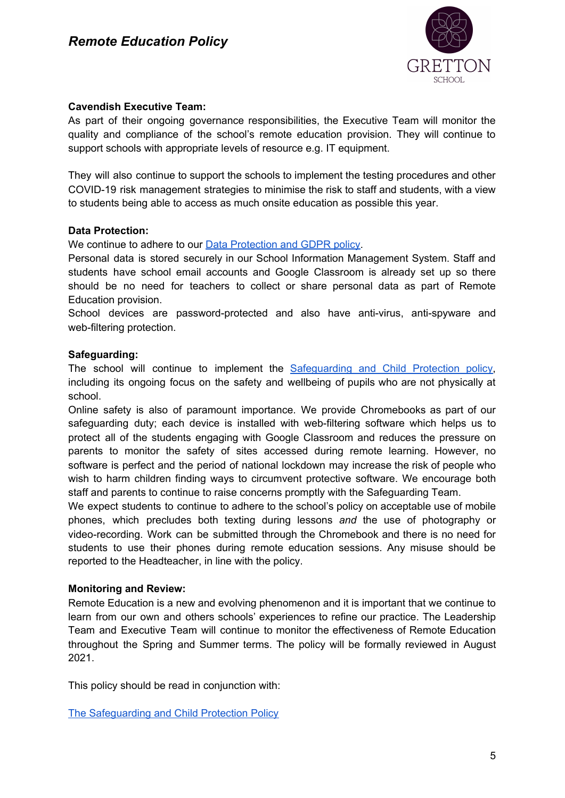

### **Cavendish Executive Team:**

As part of their ongoing governance responsibilities, the Executive Team will monitor the quality and compliance of the school's remote education provision. They will continue to support schools with appropriate levels of resource e.g. IT equipment.

They will also continue to support the schools to implement the testing procedures and other COVID-19 risk management strategies to minimise the risk to staff and students, with a view to students being able to access as much onsite education as possible this year.

### **Data Protection:**

We continue to adhere to our **Data [Protection](https://a515940e-7e52-44ce-94ab-e52a29f624d0.filesusr.com/ugd/19aab6_b448d8e30f7d4283b9e90040a1e204d4.pdf) and GDPR policy**.

Personal data is stored securely in our School Information Management System. Staff and students have school email accounts and Google Classroom is already set up so there should be no need for teachers to collect or share personal data as part of Remote Education provision.

School devices are password-protected and also have anti-virus, anti-spyware and web-filtering protection.

### **Safeguarding:**

The school will continue to implement the [Safeguarding](https://a515940e-7e52-44ce-94ab-e52a29f624d0.filesusr.com/ugd/e4d269_8762c424e19a47cd8a74ed2e943774d2.pdf) and Child Protection policy, including its ongoing focus on the safety and wellbeing of pupils who are not physically at school.

Online safety is also of paramount importance. We provide Chromebooks as part of our safeguarding duty; each device is installed with web-filtering software which helps us to protect all of the students engaging with Google Classroom and reduces the pressure on parents to monitor the safety of sites accessed during remote learning. However, no software is perfect and the period of national lockdown may increase the risk of people who wish to harm children finding ways to circumvent protective software. We encourage both staff and parents to continue to raise concerns promptly with the Safeguarding Team.

We expect students to continue to adhere to the school's policy on acceptable use of mobile phones, which precludes both texting during lessons *and* the use of photography or video-recording. Work can be submitted through the Chromebook and there is no need for students to use their phones during remote education sessions. Any misuse should be reported to the Headteacher, in line with the policy.

### **Monitoring and Review:**

Remote Education is a new and evolving phenomenon and it is important that we continue to learn from our own and others schools' experiences to refine our practice. The Leadership Team and Executive Team will continue to monitor the effectiveness of Remote Education throughout the Spring and Summer terms. The policy will be formally reviewed in August 2021.

This policy should be read in conjunction with:

The [Safeguarding](https://a515940e-7e52-44ce-94ab-e52a29f624d0.filesusr.com/ugd/e4d269_8762c424e19a47cd8a74ed2e943774d2.pdf) and Child Protection Policy